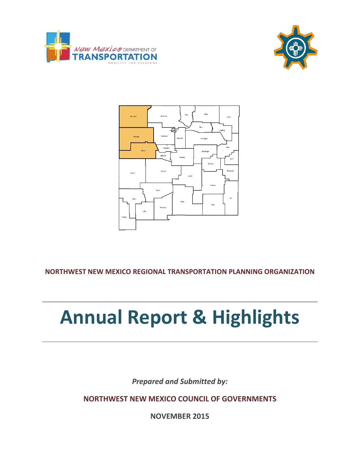





**NORTHWEST NEW MEXICO REGIONAL TRANSPORTATION PLANNING ORGANIZATION**

# **Annual Report & Highlights**

*Prepared and Submitted by:*

**NORTHWEST NEW MEXICO COUNCIL OF GOVERNMENTS**

**NOVEMBER 2015**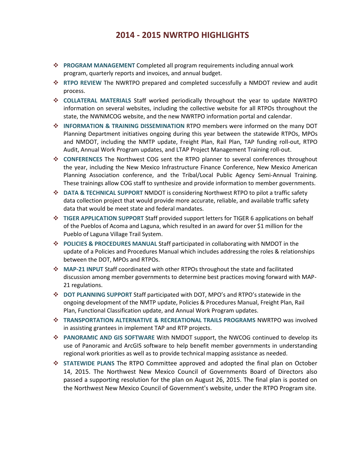### **2014 - 2015 NWRTPO HIGHLIGHTS**

- **PROGRAM MANAGEMENT** Completed all program requirements including annual work program, quarterly reports and invoices, and annual budget.
- **RTPO REVIEW** The NWRTPO prepared and completed successfully a NMDOT review and audit process.
- **COLLATERAL MATERIALS** Staff worked periodically throughout the year to update NWRTPO information on several websites, including the collective website for all RTPOs throughout the state, the NWNMCOG website, and the new NWRTPO information portal and calendar.
- **INFORMATION & TRAINING DISSEMINATION** RTPO members were informed on the many DOT Planning Department initiatives ongoing during this year between the statewide RTPOs, MPOs and NMDOT, including the NMTP update, Freight Plan, Rail Plan, TAP funding roll-out, RTPO Audit, Annual Work Program updates, and LTAP Project Management Training roll-out.
- **CONFERENCES** The Northwest COG sent the RTPO planner to several conferences throughout the year, including the New Mexico Infrastructure Finance Conference, New Mexico American Planning Association conference, and the Tribal/Local Public Agency Semi-Annual Training. These trainings allow COG staff to synthesize and provide information to member governments.
- **DATA & TECHNICAL SUPPORT** NMDOT is considering Northwest RTPO to pilot a traffic safety data collection project that would provide more accurate, reliable, and available traffic safety data that would be meet state and federal mandates.
- **TIGER APPLICATION SUPPORT** Staff provided support letters for TIGER 6 applications on behalf of the Pueblos of Acoma and Laguna, which resulted in an award for over \$1 million for the Pueblo of Laguna Village Trail System.
- **POLICIES & PROCEDURES MANUAL** Staff participated in collaborating with NMDOT in the update of a Policies and Procedures Manual which includes addressing the roles & relationships between the DOT, MPOs and RTPOs.
- **MAP-21 INPUT** Staff coordinated with other RTPOs throughout the state and facilitated discussion among member governments to determine best practices moving forward with MAP-21 regulations.
- **DOT PLANNING SUPPORT** Staff participated with DOT, MPO's and RTPO's statewide in the ongoing development of the NMTP update, Policies & Procedures Manual, Freight Plan, Rail Plan, Functional Classification update, and Annual Work Program updates.
- **TRANSPORTATION ALTERNATIVE & RECREATIONAL TRAILS PROGRAMS** NWRTPO was involved in assisting grantees in implement TAP and RTP projects.
- **PANORAMIC AND GIS SOFTWARE** With NMDOT support, the NWCOG continued to develop its use of Panoramic and ArcGIS software to help benefit member governments in understanding regional work priorities as well as to provide technical mapping assistance as needed.
- **STATEWIDE PLANS** The RTPO Committee approved and adopted the final plan on October 14, 2015. The Northwest New Mexico Council of Governments Board of Directors also passed a supporting resolution for the plan on August 26, 2015. The final plan is posted on the Northwest New Mexico Council of Government's website, under the RTPO Program site.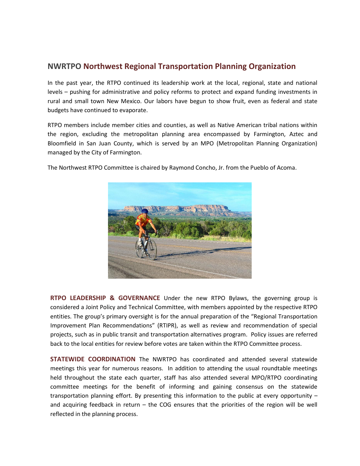#### **NWRTPO Northwest Regional Transportation Planning Organization**

In the past year, the RTPO continued its leadership work at the local, regional, state and national levels – pushing for administrative and policy reforms to protect and expand funding investments in rural and small town New Mexico. Our labors have begun to show fruit, even as federal and state budgets have continued to evaporate.

RTPO members include member cities and counties, as well as Native American tribal nations within the region, excluding the metropolitan planning area encompassed by Farmington, Aztec and Bloomfield in San Juan County, which is served by an MPO (Metropolitan Planning Organization) managed by the City of Farmington.



The Northwest RTPO Committee is chaired by Raymond Concho, Jr. from the Pueblo of Acoma.

**RTPO LEADERSHIP & GOVERNANCE** Under the new RTPO Bylaws, the governing group is considered a Joint Policy and Technical Committee, with members appointed by the respective RTPO entities. The group's primary oversight is for the annual preparation of the "Regional Transportation Improvement Plan Recommendations" (RTIPR), as well as review and recommendation of special projects, such as in public transit and transportation alternatives program. Policy issues are referred back to the local entities for review before votes are taken within the RTPO Committee process.

**STATEWIDE COORDINATION** The NWRTPO has coordinated and attended several statewide meetings this year for numerous reasons. In addition to attending the usual roundtable meetings held throughout the state each quarter, staff has also attended several MPO/RTPO coordinating committee meetings for the benefit of informing and gaining consensus on the statewide transportation planning effort. By presenting this information to the public at every opportunity – and acquiring feedback in return – the COG ensures that the priorities of the region will be well reflected in the planning process.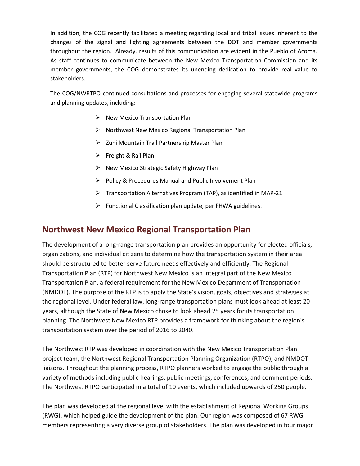In addition, the COG recently facilitated a meeting regarding local and tribal issues inherent to the changes of the signal and lighting agreements between the DOT and member governments throughout the region. Already, results of this communication are evident in the Pueblo of Acoma. As staff continues to communicate between the New Mexico Transportation Commission and its member governments, the COG demonstrates its unending dedication to provide real value to stakeholders.

The COG/NWRTPO continued consultations and processes for engaging several statewide programs and planning updates, including:

- $\triangleright$  New Mexico Transportation Plan
- $\triangleright$  Northwest New Mexico Regional Transportation Plan
- $\triangleright$  Zuni Mountain Trail Partnership Master Plan
- $\triangleright$  Freight & Rail Plan
- $\triangleright$  New Mexico Strategic Safety Highway Plan
- $\triangleright$  Policy & Procedures Manual and Public Involvement Plan
- $\triangleright$  Transportation Alternatives Program (TAP), as identified in MAP-21
- $\triangleright$  Functional Classification plan update, per FHWA guidelines.

#### **Northwest New Mexico Regional Transportation Plan**

The development of a long-range transportation plan provides an opportunity for elected officials, organizations, and individual citizens to determine how the transportation system in their area should be structured to better serve future needs effectively and efficiently. The Regional Transportation Plan (RTP) for Northwest New Mexico is an integral part of the New Mexico Transportation Plan, a federal requirement for the New Mexico Department of Transportation (NMDOT). The purpose of the RTP is to apply the State's vision, goals, objectives and strategies at the regional level. Under federal law, long-range transportation plans must look ahead at least 20 years, although the State of New Mexico chose to look ahead 25 years for its transportation planning. The Northwest New Mexico RTP provides a framework for thinking about the region's transportation system over the period of 2016 to 2040.

The Northwest RTP was developed in coordination with the New Mexico Transportation Plan project team, the Northwest Regional Transportation Planning Organization (RTPO), and NMDOT liaisons. Throughout the planning process, RTPO planners worked to engage the public through a variety of methods including public hearings, public meetings, conferences, and comment periods. The Northwest RTPO participated in a total of 10 events, which included upwards of 250 people.

The plan was developed at the regional level with the establishment of Regional Working Groups (RWG), which helped guide the development of the plan. Our region was composed of 67 RWG members representing a very diverse group of stakeholders. The plan was developed in four major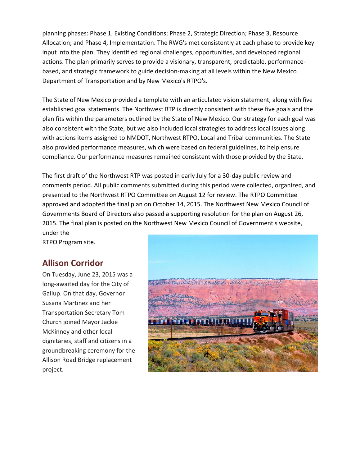planning phases: Phase 1, Existing Conditions; Phase 2, Strategic Direction; Phase 3, Resource Allocation; and Phase 4, Implementation. The RWG's met consistently at each phase to provide key input into the plan. They identified regional challenges, opportunities, and developed regional actions. The plan primarily serves to provide a visionary, transparent, predictable, performancebased, and strategic framework to guide decision-making at all levels within the New Mexico Department of Transportation and by New Mexico's RTPO's.

The State of New Mexico provided a template with an articulated vision statement, along with five established goal statements. The Northwest RTP is directly consistent with these five goals and the plan fits within the parameters outlined by the State of New Mexico. Our strategy for each goal was also consistent with the State, but we also included local strategies to address local issues along with actions items assigned to NMDOT, Northwest RTPO, Local and Tribal communities. The State also provided performance measures, which were based on federal guidelines, to help ensure compliance. Our performance measures remained consistent with those provided by the State.

The first draft of the Northwest RTP was posted in early July for a 30-day public review and comments period. All public comments submitted during this period were collected, organized, and presented to the Northwest RTPO Committee on August 12 for review. The RTPO Committee approved and adopted the final plan on October 14, 2015. The Northwest New Mexico Council of Governments Board of Directors also passed a supporting resolution for the plan on August 26, 2015. The final plan is posted on the Northwest New Mexico Council of Government's website, under the

RTPO Program site.

## **Allison Corridor**

On Tuesday, June 23, 2015 was a long-awaited day for the City of Gallup. On that day, Governor Susana Martinez and her Transportation Secretary Tom Church joined Mayor Jackie McKinney and other local dignitaries, staff and citizens in a groundbreaking ceremony for the Allison Road Bridge replacement project.

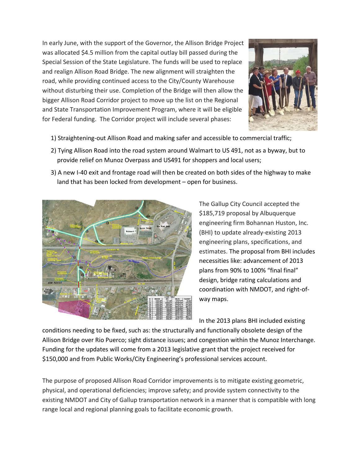In early June, with the support of the Governor, the Allison Bridge Project was allocated \$4.5 million from the capital outlay bill passed during the Special Session of the State Legislature. The funds will be used to replace and realign Allison Road Bridge. The new alignment will straighten the road, while providing continued access to the City/County Warehouse without disturbing their use. Completion of the Bridge will then allow the bigger Allison Road Corridor project to move up the list on the Regional and State Transportation Improvement Program, where it will be eligible for Federal funding. The Corridor project will include several phases:



- 1) Straightening-out Allison Road and making safer and accessible to commercial traffic;
- 2) Tying Allison Road into the road system around Walmart to US 491, not as a byway, but to provide relief on Munoz Overpass and US491 for shoppers and local users;
- 3) A new I-40 exit and frontage road will then be created on both sides of the highway to make land that has been locked from development – open for business.



The Gallup City Council accepted the \$185,719 proposal by Albuquerque engineering firm Bohannan Huston, Inc. (BHI) to update already-existing 2013 engineering plans, specifications, and estimates. The proposal from BHI includes necessities like: advancement of 2013 plans from 90% to 100% "final final" design, bridge rating calculations and coordination with NMDOT, and right-ofway maps.

In the 2013 plans BHI included existing

conditions needing to be fixed, such as: the structurally and functionally obsolete design of the Allison Bridge over Rio Puerco; sight distance issues; and congestion within the Munoz Interchange. Funding for the updates will come from a 2013 legislative grant that the project received for \$150,000 and from Public Works/City Engineering's professional services account.

The purpose of proposed Allison Road Corridor improvements is to mitigate existing geometric, physical, and operational deficiencies; improve safety; and provide system connectivity to the existing NMDOT and City of Gallup transportation network in a manner that is compatible with long range local and regional planning goals to facilitate economic growth.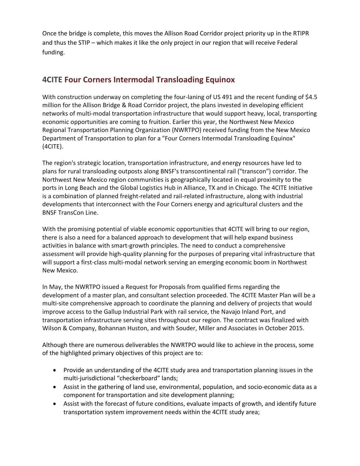Once the bridge is complete, this moves the Allison Road Corridor project priority up in the RTIPR and thus the STIP – which makes it like the only project in our region that will receive Federal funding.

## **4CITE Four Corners Intermodal Transloading Equinox**

With construction underway on completing the four-laning of US 491 and the recent funding of \$4.5 million for the Allison Bridge & Road Corridor project, the plans invested in developing efficient networks of multi-modal transportation infrastructure that would support heavy, local, transporting economic opportunities are coming to fruition. Earlier this year, the Northwest New Mexico Regional Transportation Planning Organization (NWRTPO) received funding from the New Mexico Department of Transportation to plan for a "Four Corners Intermodal Transloading Equinox" (4CITE).

The region's strategic location, transportation infrastructure, and energy resources have led to plans for rural transloading outposts along BNSF's transcontinental rail ("transcon") corridor. The Northwest New Mexico region communities is geographically located in equal proximity to the ports in Long Beach and the Global Logistics Hub in Alliance, TX and in Chicago. The 4CITE Initiative is a combination of planned freight-related and rail-related infrastructure, along with industrial developments that interconnect with the Four Corners energy and agricultural clusters and the BNSF TransCon Line.

With the promising potential of viable economic opportunities that 4CITE will bring to our region, there is also a need for a balanced approach to development that will help expand business activities in balance with smart-growth principles. The need to conduct a comprehensive assessment will provide high-quality planning for the purposes of preparing vital infrastructure that will support a first-class multi-modal network serving an emerging economic boom in Northwest New Mexico.

In May, the NWRTPO issued a Request for Proposals from qualified firms regarding the development of a master plan, and consultant selection proceeded. The 4CITE Master Plan will be a multi-site comprehensive approach to coordinate the planning and delivery of projects that would improve access to the Gallup Industrial Park with rail service, the Navajo Inland Port, and transportation infrastructure serving sites throughout our region. The contract was finalized with Wilson & Company, Bohannan Huston, and with Souder, Miller and Associates in October 2015.

Although there are numerous deliverables the NWRTPO would like to achieve in the process, some of the highlighted primary objectives of this project are to:

- Provide an understanding of the 4CITE study area and transportation planning issues in the multi-jurisdictional "checkerboard" lands;
- Assist in the gathering of land use, environmental, population, and socio-economic data as a component for transportation and site development planning;
- Assist with the forecast of future conditions, evaluate impacts of growth, and identify future transportation system improvement needs within the 4CITE study area;